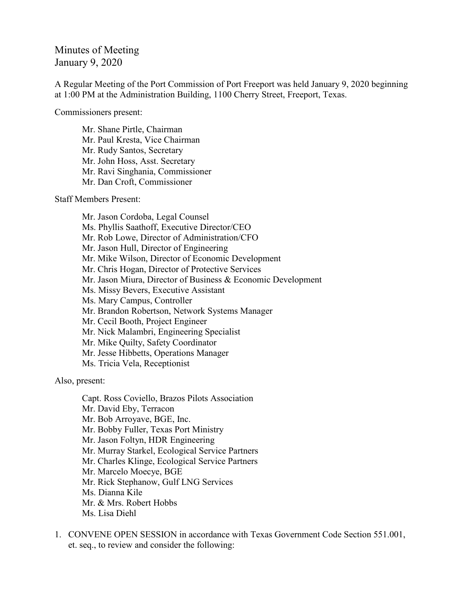## Minutes of Meeting January 9, 2020

A Regular Meeting of the Port Commission of Port Freeport was held January 9, 2020 beginning at 1:00 PM at the Administration Building, 1100 Cherry Street, Freeport, Texas.

Commissioners present:

Mr. Shane Pirtle, Chairman Mr. Paul Kresta, Vice Chairman Mr. Rudy Santos, Secretary Mr. John Hoss, Asst. Secretary Mr. Ravi Singhania, Commissioner Mr. Dan Croft, Commissioner

Staff Members Present:

Mr. Jason Cordoba, Legal Counsel Ms. Phyllis Saathoff, Executive Director/CEO Mr. Rob Lowe, Director of Administration/CFO Mr. Jason Hull, Director of Engineering Mr. Mike Wilson, Director of Economic Development Mr. Chris Hogan, Director of Protective Services Mr. Jason Miura, Director of Business & Economic Development Ms. Missy Bevers, Executive Assistant Ms. Mary Campus, Controller Mr. Brandon Robertson, Network Systems Manager Mr. Cecil Booth, Project Engineer Mr. Nick Malambri, Engineering Specialist Mr. Mike Quilty, Safety Coordinator Mr. Jesse Hibbetts, Operations Manager Ms. Tricia Vela, Receptionist

Also, present:

Capt. Ross Coviello, Brazos Pilots Association Mr. David Eby, Terracon Mr. Bob Arroyave, BGE, Inc. Mr. Bobby Fuller, Texas Port Ministry Mr. Jason Foltyn, HDR Engineering Mr. Murray Starkel, Ecological Service Partners Mr. Charles Klinge, Ecological Service Partners Mr. Marcelo Moecye, BGE Mr. Rick Stephanow, Gulf LNG Services Ms. Dianna Kile Mr. & Mrs. Robert Hobbs Ms. Lisa Diehl

1. CONVENE OPEN SESSION in accordance with Texas Government Code Section 551.001, et. seq., to review and consider the following: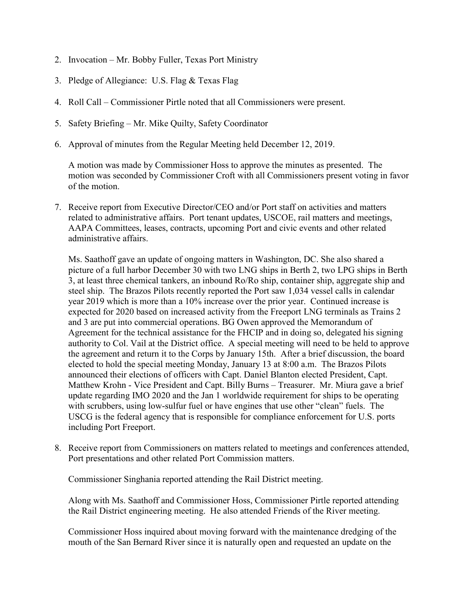- 2. Invocation Mr. Bobby Fuller, Texas Port Ministry
- 3. Pledge of Allegiance: U.S. Flag & Texas Flag
- 4. Roll Call Commissioner Pirtle noted that all Commissioners were present.
- 5. Safety Briefing Mr. Mike Quilty, Safety Coordinator
- 6. Approval of minutes from the Regular Meeting held December 12, 2019.

A motion was made by Commissioner Hoss to approve the minutes as presented. The motion was seconded by Commissioner Croft with all Commissioners present voting in favor of the motion.

7. Receive report from Executive Director/CEO and/or Port staff on activities and matters related to administrative affairs. Port tenant updates, USCOE, rail matters and meetings, AAPA Committees, leases, contracts, upcoming Port and civic events and other related administrative affairs.

Ms. Saathoff gave an update of ongoing matters in Washington, DC. She also shared a picture of a full harbor December 30 with two LNG ships in Berth 2, two LPG ships in Berth 3, at least three chemical tankers, an inbound Ro/Ro ship, container ship, aggregate ship and steel ship. The Brazos Pilots recently reported the Port saw 1,034 vessel calls in calendar year 2019 which is more than a 10% increase over the prior year. Continued increase is expected for 2020 based on increased activity from the Freeport LNG terminals as Trains 2 and 3 are put into commercial operations. BG Owen approved the Memorandum of Agreement for the technical assistance for the FHCIP and in doing so, delegated his signing authority to Col. Vail at the District office. A special meeting will need to be held to approve the agreement and return it to the Corps by January 15th. After a brief discussion, the board elected to hold the special meeting Monday, January 13 at 8:00 a.m. The Brazos Pilots announced their elections of officers with Capt. Daniel Blanton elected President, Capt. Matthew Krohn - Vice President and Capt. Billy Burns – Treasurer. Mr. Miura gave a brief update regarding IMO 2020 and the Jan 1 worldwide requirement for ships to be operating with scrubbers, using low-sulfur fuel or have engines that use other "clean" fuels. The USCG is the federal agency that is responsible for compliance enforcement for U.S. ports including Port Freeport.

8. Receive report from Commissioners on matters related to meetings and conferences attended, Port presentations and other related Port Commission matters.

Commissioner Singhania reported attending the Rail District meeting.

Along with Ms. Saathoff and Commissioner Hoss, Commissioner Pirtle reported attending the Rail District engineering meeting. He also attended Friends of the River meeting.

Commissioner Hoss inquired about moving forward with the maintenance dredging of the mouth of the San Bernard River since it is naturally open and requested an update on the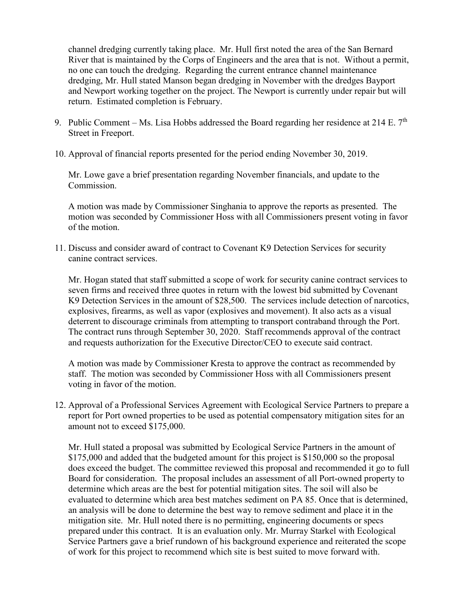channel dredging currently taking place. Mr. Hull first noted the area of the San Bernard River that is maintained by the Corps of Engineers and the area that is not. Without a permit, no one can touch the dredging. Regarding the current entrance channel maintenance dredging, Mr. Hull stated Manson began dredging in November with the dredges Bayport and Newport working together on the project. The Newport is currently under repair but will return. Estimated completion is February.

- 9. Public Comment Ms. Lisa Hobbs addressed the Board regarding her residence at 214 E.  $7<sup>th</sup>$ Street in Freeport.
- 10. Approval of financial reports presented for the period ending November 30, 2019.

Mr. Lowe gave a brief presentation regarding November financials, and update to the Commission.

A motion was made by Commissioner Singhania to approve the reports as presented. The motion was seconded by Commissioner Hoss with all Commissioners present voting in favor of the motion.

11. Discuss and consider award of contract to Covenant K9 Detection Services for security canine contract services.

Mr. Hogan stated that staff submitted a scope of work for security canine contract services to seven firms and received three quotes in return with the lowest bid submitted by Covenant K9 Detection Services in the amount of \$28,500. The services include detection of narcotics, explosives, firearms, as well as vapor (explosives and movement). It also acts as a visual deterrent to discourage criminals from attempting to transport contraband through the Port. The contract runs through September 30, 2020. Staff recommends approval of the contract and requests authorization for the Executive Director/CEO to execute said contract.

A motion was made by Commissioner Kresta to approve the contract as recommended by staff. The motion was seconded by Commissioner Hoss with all Commissioners present voting in favor of the motion.

12. Approval of a Professional Services Agreement with Ecological Service Partners to prepare a report for Port owned properties to be used as potential compensatory mitigation sites for an amount not to exceed \$175,000.

Mr. Hull stated a proposal was submitted by Ecological Service Partners in the amount of \$175,000 and added that the budgeted amount for this project is \$150,000 so the proposal does exceed the budget. The committee reviewed this proposal and recommended it go to full Board for consideration. The proposal includes an assessment of all Port-owned property to determine which areas are the best for potential mitigation sites. The soil will also be evaluated to determine which area best matches sediment on PA 85. Once that is determined, an analysis will be done to determine the best way to remove sediment and place it in the mitigation site. Mr. Hull noted there is no permitting, engineering documents or specs prepared under this contract. It is an evaluation only. Mr. Murray Starkel with Ecological Service Partners gave a brief rundown of his background experience and reiterated the scope of work for this project to recommend which site is best suited to move forward with.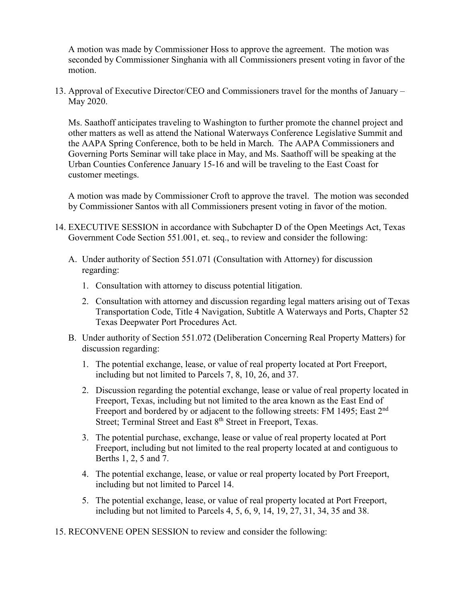A motion was made by Commissioner Hoss to approve the agreement. The motion was seconded by Commissioner Singhania with all Commissioners present voting in favor of the motion.

13. Approval of Executive Director/CEO and Commissioners travel for the months of January – May 2020.

Ms. Saathoff anticipates traveling to Washington to further promote the channel project and other matters as well as attend the National Waterways Conference Legislative Summit and the AAPA Spring Conference, both to be held in March. The AAPA Commissioners and Governing Ports Seminar will take place in May, and Ms. Saathoff will be speaking at the Urban Counties Conference January 15-16 and will be traveling to the East Coast for customer meetings.

A motion was made by Commissioner Croft to approve the travel. The motion was seconded by Commissioner Santos with all Commissioners present voting in favor of the motion.

- 14. EXECUTIVE SESSION in accordance with Subchapter D of the Open Meetings Act, Texas Government Code Section 551.001, et. seq., to review and consider the following:
	- A. Under authority of Section 551.071 (Consultation with Attorney) for discussion regarding:
		- 1. Consultation with attorney to discuss potential litigation.
		- 2. Consultation with attorney and discussion regarding legal matters arising out of Texas Transportation Code, Title 4 Navigation, Subtitle A Waterways and Ports, Chapter 52 Texas Deepwater Port Procedures Act.
	- B. Under authority of Section 551.072 (Deliberation Concerning Real Property Matters) for discussion regarding:
		- 1. The potential exchange, lease, or value of real property located at Port Freeport, including but not limited to Parcels 7, 8, 10, 26, and 37.
		- 2. Discussion regarding the potential exchange, lease or value of real property located in Freeport, Texas, including but not limited to the area known as the East End of Freeport and bordered by or adjacent to the following streets: FM 1495; East 2<sup>nd</sup> Street; Terminal Street and East 8<sup>th</sup> Street in Freeport, Texas.
		- 3. The potential purchase, exchange, lease or value of real property located at Port Freeport, including but not limited to the real property located at and contiguous to Berths 1, 2, 5 and 7.
		- 4. The potential exchange, lease, or value or real property located by Port Freeport, including but not limited to Parcel 14.
		- 5. The potential exchange, lease, or value of real property located at Port Freeport, including but not limited to Parcels 4, 5, 6, 9, 14, 19, 27, 31, 34, 35 and 38.

15. RECONVENE OPEN SESSION to review and consider the following: